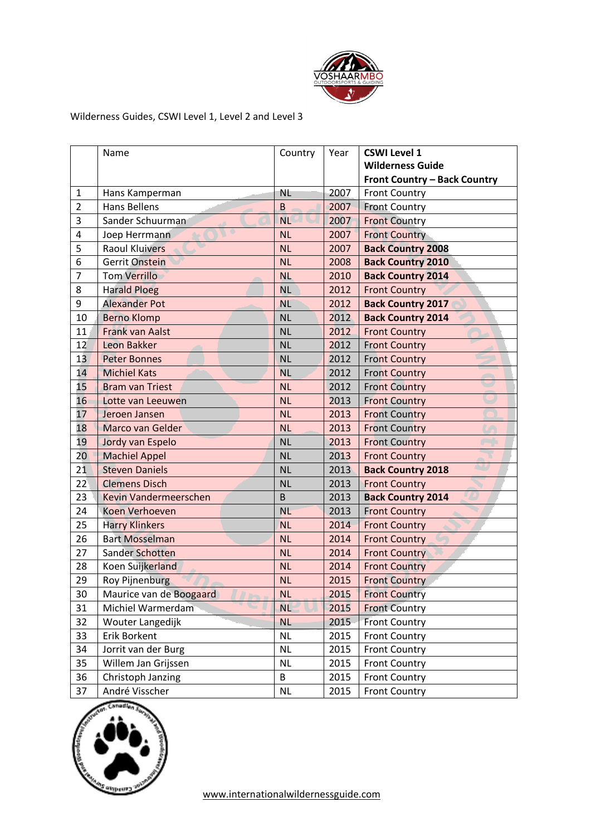

## Wilderness Guides, CSWI Level 1, Level 2 and Level 3

|                         | Name                    | Country   | Year | <b>CSWI Level 1</b>                 |
|-------------------------|-------------------------|-----------|------|-------------------------------------|
|                         |                         |           |      | <b>Wilderness Guide</b>             |
|                         |                         |           |      | <b>Front Country - Back Country</b> |
| $\mathbf 1$             | Hans Kamperman          | <b>NL</b> | 2007 | <b>Front Country</b>                |
| $\overline{2}$          | <b>Hans Bellens</b>     | $\sf B$   | 2007 | <b>Front Country</b>                |
| 3                       | Sander Schuurman        | <b>NL</b> | 2007 | <b>Front Country</b>                |
| $\overline{\mathbf{4}}$ | Joep Herrmann           | <b>NL</b> | 2007 | <b>Front Country</b>                |
| 5                       | <b>Raoul Kluivers</b>   | <b>NL</b> | 2007 | <b>Back Country 2008</b>            |
| 6                       | Gerrit Onstein          | <b>NL</b> | 2008 | <b>Back Country 2010</b>            |
| $\overline{7}$          | <b>Tom Verrillo</b>     | <b>NL</b> | 2010 | <b>Back Country 2014</b>            |
| 8                       | <b>Harald Ploeg</b>     | <b>NL</b> | 2012 | <b>Front Country</b>                |
| 9                       | <b>Alexander Pot</b>    | <b>NL</b> | 2012 | <b>Back Country 2017</b>            |
| 10                      | <b>Berno Klomp</b>      | <b>NL</b> | 2012 | <b>Back Country 2014</b>            |
| 11                      | <b>Frank van Aalst</b>  | <b>NL</b> | 2012 | <b>Front Country</b>                |
| 12                      | Leon Bakker             | <b>NL</b> | 2012 | <b>Front Country</b>                |
| 13                      | <b>Peter Bonnes</b>     | <b>NL</b> | 2012 | <b>Front Country</b>                |
| 14                      | <b>Michiel Kats</b>     | <b>NL</b> | 2012 | <b>Front Country</b>                |
| 15                      | <b>Bram van Triest</b>  | <b>NL</b> | 2012 | <b>Front Country</b>                |
| 16                      | Lotte van Leeuwen       | <b>NL</b> | 2013 | <b>Front Country</b>                |
| 17                      | Jeroen Jansen           | <b>NL</b> | 2013 | <b>Front Country</b>                |
| 18                      | Marco van Gelder        | <b>NL</b> | 2013 | <b>Front Country</b>                |
| 19                      | Jordy van Espelo        | <b>NL</b> | 2013 | <b>Front Country</b>                |
| 20 <sup>°</sup>         | <b>Machiel Appel</b>    | <b>NL</b> | 2013 | <b>Front Country</b>                |
| 21                      | <b>Steven Daniels</b>   | <b>NL</b> | 2013 | <b>Back Country 2018</b>            |
| 22                      | <b>Clemens Disch</b>    | <b>NL</b> | 2013 | <b>Front Country</b>                |
| 23                      | Kevin Vandermeerschen   | B         | 2013 | <b>Back Country 2014</b>            |
| 24                      | Koen Verhoeven          | <b>NL</b> | 2013 | <b>Front Country</b>                |
| 25                      | <b>Harry Klinkers</b>   | <b>NL</b> | 2014 | <b>Front Country</b>                |
| 26                      | <b>Bart Mosselman</b>   | <b>NL</b> | 2014 | <b>Front Country</b>                |
| 27                      | Sander Schotten         | <b>NL</b> | 2014 | <b>Front Country</b>                |
| 28                      | Koen Suijkerland        | <b>NL</b> | 2014 | <b>Front Country</b>                |
| 29                      | <b>Roy Pijnenburg</b>   | <b>NL</b> | 2015 | <b>Front Country</b>                |
| 30                      | Maurice van de Boogaard | <b>NL</b> | 2015 | <b>Front Country</b>                |
| 31                      | Michiel Warmerdam       | <b>NL</b> | 2015 | <b>Front Country</b>                |
| 32                      | Wouter Langedijk        | <b>NL</b> | 2015 | <b>Front Country</b>                |
| 33                      | Erik Borkent            | <b>NL</b> | 2015 | <b>Front Country</b>                |
| 34                      | Jorrit van der Burg     | <b>NL</b> | 2015 | <b>Front Country</b>                |
| 35                      | Willem Jan Grijssen     | <b>NL</b> | 2015 | <b>Front Country</b>                |
| 36                      | Christoph Janzing       | B         | 2015 | <b>Front Country</b>                |
| 37                      | André Visscher          | <b>NL</b> | 2015 | <b>Front Country</b>                |

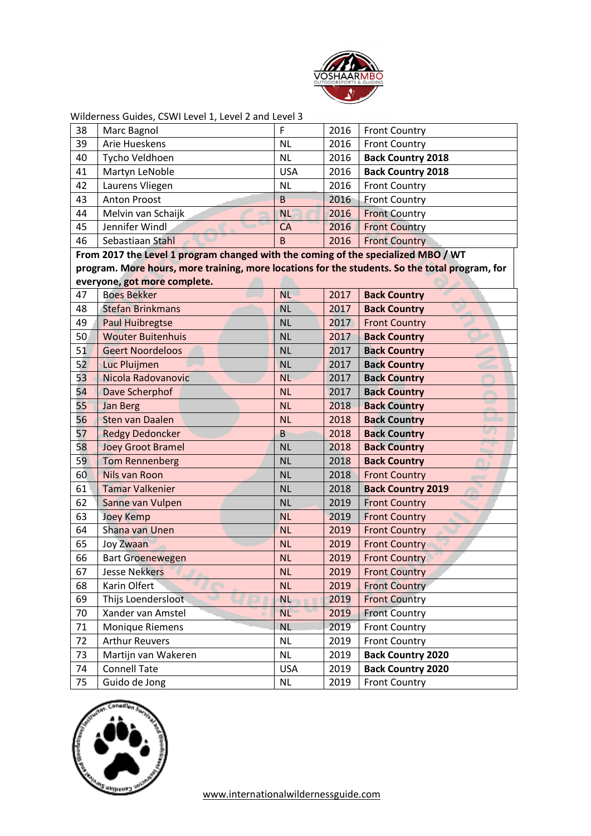

| 38           | Marc Bagnol                                                                                    | F          | 2016 | <b>Front Country</b>      |
|--------------|------------------------------------------------------------------------------------------------|------------|------|---------------------------|
| 39           | Arie Hueskens                                                                                  | <b>NL</b>  | 2016 | <b>Front Country</b>      |
| 40           | Tycho Veldhoen                                                                                 | <b>NL</b>  | 2016 | <b>Back Country 2018</b>  |
| 41           | Martyn LeNoble                                                                                 | <b>USA</b> | 2016 | <b>Back Country 2018</b>  |
| 42           | Laurens Vliegen                                                                                | <b>NL</b>  | 2016 | <b>Front Country</b>      |
| 43           | <b>Anton Proost</b>                                                                            | B          | 2016 | <b>Front Country</b>      |
| 44           | Melvin van Schaijk                                                                             | <b>NL</b>  | 2016 | <b>Front Country</b>      |
| 45           | Jennifer Windl                                                                                 | CA         | 2016 | <b>Front Country</b>      |
| 46           | Sebastiaan Stahl                                                                               | B          | 2016 | <b>Front Country</b>      |
|              | From 2017 the Level 1 program changed with the coming of the specialized MBO / WT              |            |      |                           |
|              | program. More hours, more training, more locations for the students. So the total program, for |            |      |                           |
|              | everyone, got more complete.                                                                   |            |      |                           |
| 47           | <b>Boes Bekker</b>                                                                             | <b>NL</b>  | 2017 | <b>Back Country</b>       |
| 48           | <b>Stefan Brinkmans</b>                                                                        | <b>NL</b>  | 2017 | <b>Back Country</b>       |
| 49           | <b>Paul Huibregtse</b>                                                                         | <b>NL</b>  | 2017 | <b>Front Country</b>      |
| 50           | <b>Wouter Buitenhuis</b>                                                                       | <b>NL</b>  | 2017 | <b>Back Country</b>       |
| 51           | <b>Geert Noordeloos</b>                                                                        | <b>NL</b>  | 2017 | <b>Back Country</b>       |
| 52           | Luc Pluijmen                                                                                   | <b>NL</b>  | 2017 | <b>Back Country</b>       |
| 53           | Nicola Radovanovic                                                                             | <b>NL</b>  | 2017 | <b>Back Country</b>       |
| 54           | Dave Scherphof                                                                                 | <b>NL</b>  | 2017 | <b>Back Country</b>       |
| 55           | <b>Jan Berg</b>                                                                                | <b>NL</b>  | 2018 | <b>Back Country</b>       |
| 56           | Sten van Daalen                                                                                | <b>NL</b>  | 2018 | <b>Back Country</b>       |
| 57           | <b>Redgy Dedoncker</b>                                                                         | B          | 2018 | رى<br><b>Back Country</b> |
| 58           | <b>Joey Groot Bramel</b>                                                                       | <b>NL</b>  | 2018 | ٠<br><b>Back Country</b>  |
| 59           | <b>Tom Rennenberg</b>                                                                          | <b>NL</b>  | 2018 | <b>Back Country</b>       |
| 60           | Nils van Roon                                                                                  | <b>NL</b>  | 2018 | <b>Front Country</b>      |
| $61^{\circ}$ | <b>Tamar Valkenier</b>                                                                         | <b>NL</b>  | 2018 | <b>Back Country 2019</b>  |
| 62           | Sanne van Vulpen                                                                               | <b>NL</b>  | 2019 | <b>Front Country</b>      |
| 63           | <b>Joey Kemp</b>                                                                               | <b>NL</b>  | 2019 | <b>Front Country</b>      |
| 64           | Shana van Unen                                                                                 | <b>NL</b>  | 2019 | <b>Front Country</b>      |
| 65           | <b>Joy Zwaan</b>                                                                               | <b>NL</b>  | 2019 | <b>Front Country</b>      |
| 66           | <b>Bart Groenewegen</b>                                                                        | <b>NL</b>  | 2019 | <b>Front Country</b>      |
| 67           | Jesse Nekkers                                                                                  | <b>NL</b>  | 2019 | <b>Front Country</b>      |
| 68           | Karin Olfert                                                                                   | <b>NL</b>  | 2019 | <b>Front Country</b>      |
| 69           | Thijs Loendersloot                                                                             | <b>NL</b>  | 2019 | <b>Front Country</b>      |
| 70           | Xander van Amstel                                                                              | <b>NL</b>  | 2019 | <b>Front Country</b>      |
| 71           | <b>Monique Riemens</b>                                                                         | <b>NL</b>  | 2019 | <b>Front Country</b>      |
| 72           | <b>Arthur Reuvers</b>                                                                          | <b>NL</b>  | 2019 | <b>Front Country</b>      |
| 73           | Martijn van Wakeren                                                                            | <b>NL</b>  | 2019 | <b>Back Country 2020</b>  |
| 74           | <b>Connell Tate</b>                                                                            | <b>USA</b> | 2019 | <b>Back Country 2020</b>  |
| 75           | Guido de Jong                                                                                  | <b>NL</b>  | 2019 | <b>Front Country</b>      |

Wilderness Guides, CSWI Level 1, Level 2 and Level 3